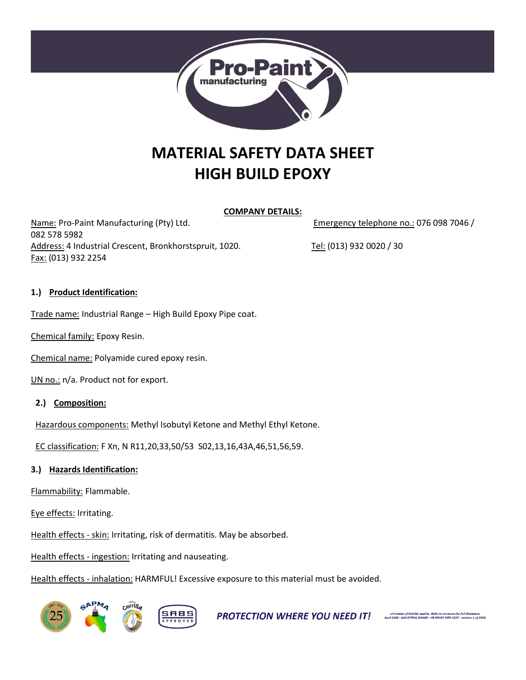

# **MATERIAL SAFETY DATA SHEET HIGH BUILD EPOXY**

#### **COMPANY DETAILS:**

Name: Pro-Paint Manufacturing (Pty) Ltd. The Manufacturing (Pty) Ltd. Emergency telephone no.: 076 098 7046 / 082 578 5982 Address: 4 Industrial Crescent, Bronkhorstspruit, 1020. Tel: (013) 932 0020 / 30 Fax: (013) 932 2254

# **1.) Product Identification:**

Trade name: Industrial Range – High Build Epoxy Pipe coat.

Chemical family: Epoxy Resin.

Chemical name: Polyamide cured epoxy resin.

UN no.: n/a. Product not for export.

**2.) Composition:**

Hazardous components: Methyl Isobutyl Ketone and Methyl Ethyl Ketone.

EC classification: F Xn, N R11,20,33,50/53 S02,13,16,43A,46,51,56,59.

# **3.) Hazards Identification:**

Flammability: Flammable.

Eye effects: Irritating.

Health effects - skin: Irritating, risk of dermatitis. May be absorbed.

Health effects - ingestion: Irritating and nauseating.

Health effects - inhalation: HARMFUL! Excessive exposure to this material must be avoided.



**PROTECTION WHERE YOU NEED IT!** Spiritation of liability applies. Refer to anneure for full disclosure.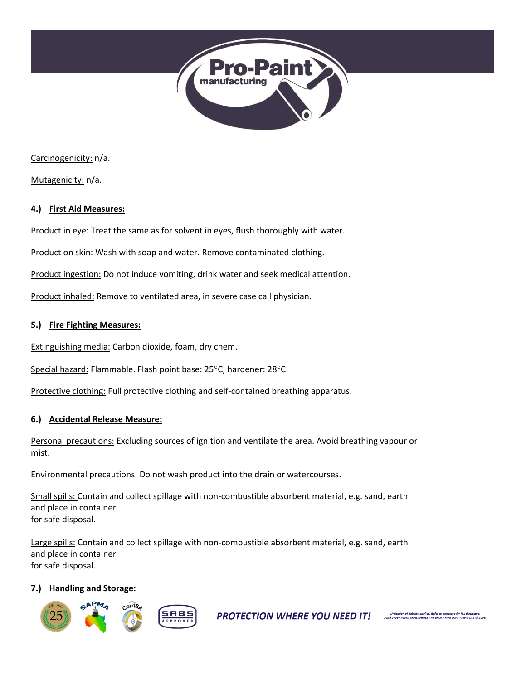

Carcinogenicity: n/a.

Mutagenicity: n/a.

#### **4.) First Aid Measures:**

Product in eye: Treat the same as for solvent in eyes, flush thoroughly with water.

Product on skin: Wash with soap and water. Remove contaminated clothing.

Product ingestion: Do not induce vomiting, drink water and seek medical attention.

Product inhaled: Remove to ventilated area, in severe case call physician.

#### **5.) Fire Fighting Measures:**

Extinguishing media: Carbon dioxide, foam, dry chem.

Special hazard: Flammable. Flash point base: 25°C, hardener: 28°C.

Protective clothing: Full protective clothing and self-contained breathing apparatus.

#### **6.) Accidental Release Measure:**

Personal precautions: Excluding sources of ignition and ventilate the area. Avoid breathing vapour or mist.

Environmental precautions: Do not wash product into the drain or watercourses.

Small spills: Contain and collect spillage with non-combustible absorbent material, e.g. sand, earth and place in container for safe disposal.

Large spills: Contain and collect spillage with non-combustible absorbent material, e.g. sand, earth and place in container for safe disposal.

#### **7.) Handling and Storage:**



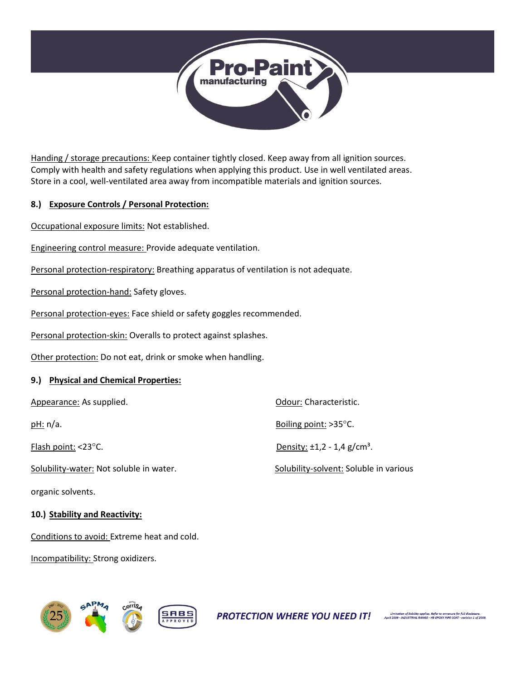

Handing / storage precautions: Keep container tightly closed. Keep away from all ignition sources. Comply with health and safety regulations when applying this product. Use in well ventilated areas. Store in a cool, well-ventilated area away from incompatible materials and ignition sources.

# **8.) Exposure Controls / Personal Protection:**

Occupational exposure limits: Not established.

Engineering control measure: Provide adequate ventilation.

Personal protection-respiratory: Breathing apparatus of ventilation is not adequate.

Personal protection-hand: Safety gloves.

Personal protection-eyes: Face shield or safety goggles recommended.

Personal protection-skin: Overalls to protect against splashes.

Other protection: Do not eat, drink or smoke when handling.

# **9.) Physical and Chemical Properties:**

| Appearance: As supplied.                | Odour: Characteristic.                       |
|-----------------------------------------|----------------------------------------------|
| pH: n/a.                                | Boiling point: $>35^{\circ}$ C.              |
| Flash point: $<$ 23 $^{\circ}$ C.       | Density: $\pm 1.2 - 1.4$ g/cm <sup>3</sup> . |
| Solubility-water: Not soluble in water. | Solubility-solvent: Soluble in various       |

organic solvents.

#### **10.) Stability and Reactivity:**

Conditions to avoid: Extreme heat and cold.

Incompatibility: Strong oxidizers.

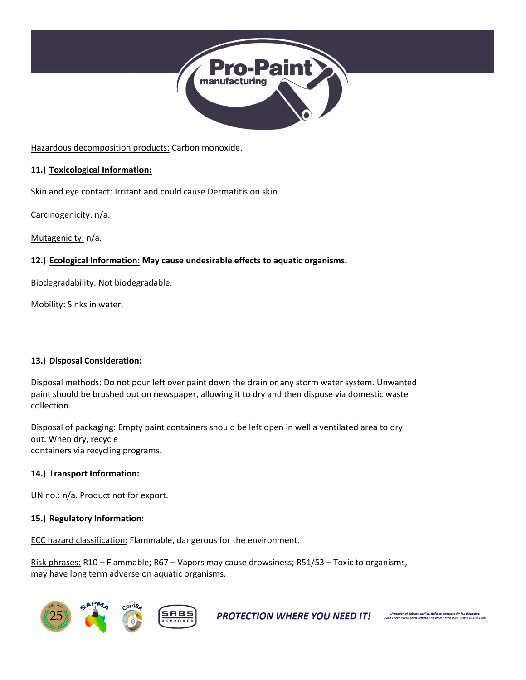

Hazardous decomposition products: Carbon monoxide.

# **11.) Toxicological Information:**

Skin and eye contact: Irritant and could cause Dermatitis on skin.

Carcinogenicity: n/a.

Mutagenicity: n/a.

# **12.) Ecological Information: May cause undesirable effects to aquatic organisms.**

Biodegradability: Not biodegradable.

Mobility: Sinks in water.

# **13.) Disposal Consideration:**

Disposal methods: Do not pour left over paint down the drain or any storm water system. Unwanted paint should be brushed out on newspaper, allowing it to dry and then dispose via domestic waste collection.

Disposal of packaging: Empty paint containers should be left open in well a ventilated area to dry out. When dry, recycle containers via recycling programs.

#### **14.) Transport Information:**

UN no.: n/a. Product not for export.

#### **15.) Regulatory Information:**

ECC hazard classification: Flammable, dangerous for the environment.

Risk phrases: R10 – Flammable; R67 – Vapors may cause drowsiness; R51/53 – Toxic to organisms, may have long term adverse on aquatic organisms.



**PROTECTION WHERE YOU NEED IT!** April 2009 - MOUSTRIAL RANGE - HB EPOXY PIPE COAT - revision 1 of 2009